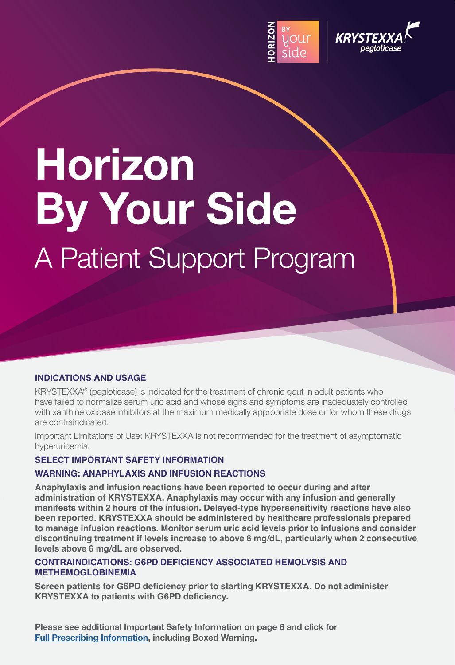



# **Horizon By Your Side** A Patient Support Program

#### **INDICATIONS AND USAGE**

KRYSTEXXA® (pegloticase) is indicated for the treatment of chronic gout in adult patients who have failed to normalize serum uric acid and whose signs and symptoms are inadequately controlled with xanthine oxidase inhibitors at the maximum medically appropriate dose or for whom these drugs are contraindicated.

Important Limitations of Use: KRYSTEXXA is not recommended for the treatment of asymptomatic hyperuricemia.

### **SELECT IMPORTANT SAFETY INFORMATION**

#### **WARNING: ANAPHYLAXIS AND INFUSION REACTIONS**

**Anaphylaxis and infusion reactions have been reported to occur during and after administration of KRYSTEXXA. Anaphylaxis may occur with any infusion and generally manifests within 2 hours of the infusion. Delayed-type hypersensitivity reactions have also been reported. KRYSTEXXA should be administered by healthcare professionals prepared to manage infusion reactions. Monitor serum uric acid levels prior to infusions and consider discontinuing treatment if levels increase to above 6 mg/dL, particularly when 2 consecutive levels above 6 mg/dL are observed.**

#### **CONTRAINDICATIONS: G6PD DEFICIENCY ASSOCIATED HEMOLYSIS AND METHEMOGLOBINEMIA**

**Screen patients for G6PD deficiency prior to starting KRYSTEXXA. Do not administer KRYSTEXXA to patients with G6PD deficiency.**

**Please see additional Important Safety Information on page 6 and click for [Full Prescribing Information](https://www.hzndocs.com/KRYSTEXXA-Prescribing-Information.pdf), including Boxed Warning.**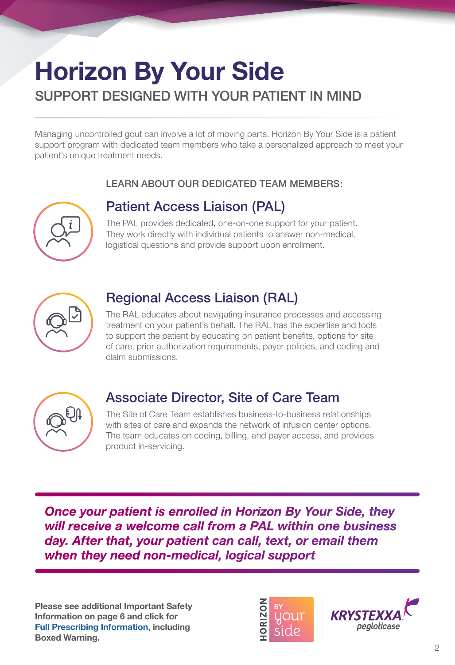## **Horizon By Your Side** SUPPORT DESIGNED WITH YOUR PATIENT IN MIND

Managing uncontrolled gout can involve a lot of moving parts. Horizon By Your Side is a patient support program with dedicated team members who take a personalized approach to meet your<br>cationals writing the through a case patient's unique treatment needs.

## LEARN ABOUT OUR DEDICATED TEAM MEMBERS:

## **Patient Access Liaison (PAL)**

The PAL provides dedicated, one-on-one support for your patient.  $\left\{\begin{array}{c} \sqrt{1-\epsilon} \end{array}\right\}$  They work directly with individual patients to answer non-medical, logistical questions and provide support upon enrollment.



## Regional Access Liaison (RAL)

 $\left\{\begin{array}{c} \nearrow \nearrow \end{array}\right\}$  to support the patient by educating on patient benefits, options for site The RAL educates about navigating insurance processes and accessing treatment on your patient's behalf. The RAL has the expertise and tools of care, prior authorization requirements, payer policies, and coding and claim submissions.



## Associate Director, Site of Care Team

The Site of Care Team establishes business-to-business relationships with sites of care and expands the network of infusion center options. The team educates on coding, billing, and payer access, and provides product in-servicing.

**Once your patient is enrolled in Horizon By Your Side, they** *will receive a welcome call from a PAL within one business day. After that, your patient can call, text, or email them when they need non-medical, logical support*

**Information on page 6 and click for** Boxed Warning.<br> **Please see additional Important Safety [Full Prescribing Information](https://www.hzndocs.com/KRYSTEXXA-Prescribing-Information.pdf), including** 



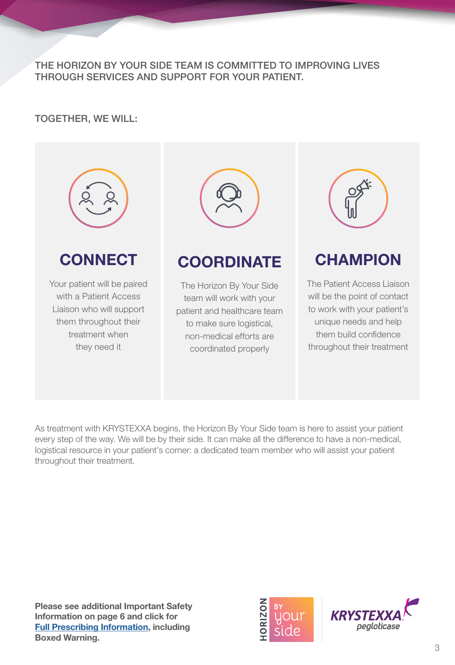THE HORIZON BY YOUR SIDE TEAM IS COMMITTED TO IMPROVING LIVES THROUGH SERVICES AND SUPPORT FOR YOUR PATIENT.

## TOGETHER, WE WILL:



As treatment with KRYSTEXXA begins, the Horizon By Your Side team is here to assist your patient every step of the way. We will be by their side. It can make all the difference to have a non-medical, logistical resource in your patient's corner: a dedicated team member who will assist your patient throughout their treatment.

**Please see additional Important Safety Information on page 6 and click for [Full Prescribing Information](https://www.hzndocs.com/KRYSTEXXA-Prescribing-Information.pdf), including Boxed Warning.**



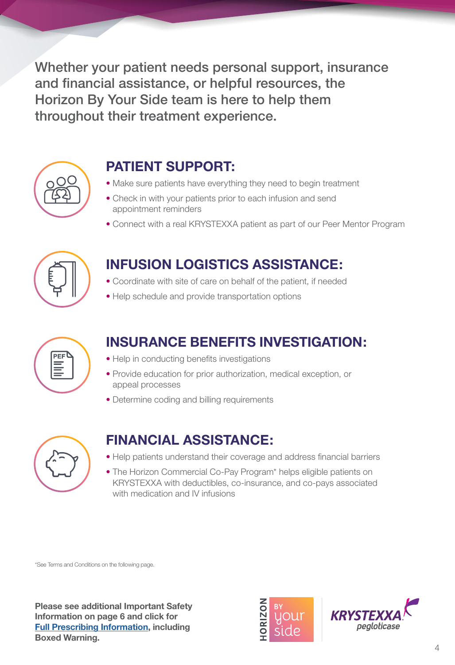throughout their treatment experience. Whether your patient needs personal support, insurance and financial assistance, or helpful resources, the Horizon By Your Side team is here to help them



after

## **PATIENT SUPPORT:**

- Make sure patients have everything they need to begin treatment
- Check in with your patients prior to each infusion and send appointment reminders
- Connect with a real KRYSTEXXA patient as part of our Peer Mentor Program



## **INFUSION LOGISTICS ASSISTANCE:**

- Coordinate with site of care on behalf of the patient, if needed
- Help schedule and provide transportation options



## **INSURANCE BENEFITS INVESTIGATION:**

- Help in conducting benefits investigations
- **EDITE Provide education for prior authorization, medical exception, or** Team appeal processes
	- Determine coding and billing requirements



## **FINANCIAL ASSISTANCE:**

- Help patients understand their coverage and address financial barriers
- The Horizon Commercial Co-Pay Program\* helps eligible patients on KRYSTEXXA with deductibles, co-insurance, and co-pays associated with medication and IV infusions

\*See Terms and Conditions on the following page.

**Please see additional Important Safety Information on page 6 and click for [Full Prescribing Information](https://www.hzndocs.com/KRYSTEXXA-Prescribing-Information.pdf), including<br>Poxed Werning Full Prescribing.**<br>Boxed Warning. police werning



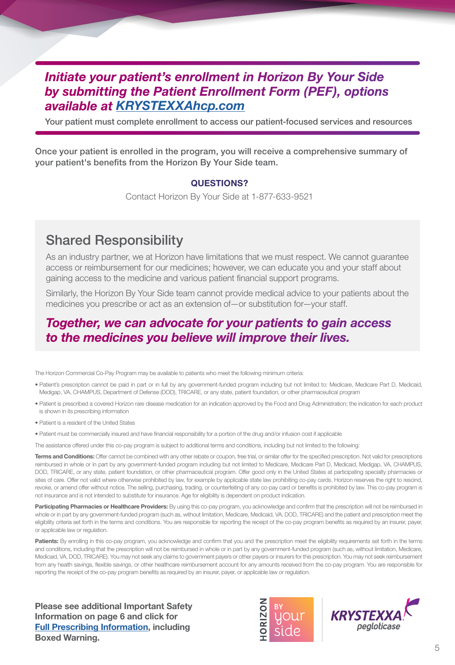## *Initiate your patient's enrollment in Horizon By Your Side by submitting the Patient Enrollment Form (PEF), options available at [KRYSTEXXAhcp.com](https://www.krystexxahcp.com/support-and-resources/support-for-your-patients)*

Your patient must complete enrollment to access our patient-focused services and resources

Once your patient is enrolled in the program, you will receive a comprehensive summary of your patient's benefits from the Horizon By Your Side team.

#### **QUESTIONS?**

Contact Horizon By Your Side at 1-877-633-9521

## Shared Responsibility

As an industry partner, we at Horizon have limitations that we must respect. We cannot guarantee access or reimbursement for our medicines; however, we can educate you and your staff about gaining access to the medicine and various patient financial support programs.

Similarly, the Horizon By Your Side team cannot provide medical advice to your patients about the medicines you prescribe or act as an extension of—or substitution for—your staff.

## *Together, we can advocate for your patients to gain access to the medicines you believe will improve their lives.*

The Horizon Commercial Co-Pay Program may be available to patients who meet the following minimum criteria:

- Patient's prescription cannot be paid in part or in full by any government-funded program including but not limited to: Medicare, Medicare Part D, Medicaid, Medigap, VA, CHAMPUS, Department of Defense (DOD), TRICARE, or any state, patient foundation, or other pharmaceutical program
- Patient is prescribed a covered Horizon rare disease medication for an indication approved by the Food and Drug Administration; the indication for each product is shown in its prescribing information
- Patient is a resident of the United States
- Patient must be commercially insured and have financial responsibility for a portion of the drug and/or infusion cost if applicable

The assistance offered under this co-pay program is subject to additional terms and conditions, including but not limited to the following:

**Terms and Conditions:** Offer cannot be combined with any other rebate or coupon, free trial, or similar offer for the specified prescription. Not valid for prescriptions reimbursed in whole or in part by any government-funded program including but not limited to Medicare, Medicare Part D, Medicaid, Medigap, VA, CHAMPUS, DOD, TRICARE, or any state, patient foundation, or other pharmaceutical program. Offer good only in the United States at participating specialty pharmacies or sites of care. Offer not valid where otherwise prohibited by law, for example by applicable state law prohibiting co-pay cards. Horizon reserves the right to rescind, revoke, or amend offer without notice. The selling, purchasing, trading, or counterfeiting of any co-pay card or benefits is prohibited by law. This co-pay program is not insurance and is not intended to substitute for insurance. Age for eligibility is dependent on product indication.

Participating Pharmacies or Healthcare Providers: By using this co-pay program, you acknowledge and confirm that the prescription will not be reimbursed in whole or in part by any government-funded program (such as, without limitation, Medicare, Medicaid, VA, DOD, TRICARE) and the patient and prescription meet the eligibility criteria set forth in the terms and conditions. You are responsible for reporting the receipt of the co-pay program benefits as required by an insurer, payer, or applicable law or regulation.

Patients: By enrolling in this co-pay program, you acknowledge and confirm that you and the prescription meet the eligibility requirements set forth in the terms and conditions, including that the prescription will not be reimbursed in whole or in part by any government-funded program (such as, without limitation, Medicare, Medicaid, VA, DOD, TRICARE). You may not seek any claims to government payers or other payers or insurers for this prescription. You may not seek reimbursement from any health savings, flexible savings, or other healthcare reimbursement account for any amounts received from the co-pay program. You are responsible for reporting the receipt of the co-pay program benefits as required by an insurer, payer, or applicable law or regulation.

**Please see additional Important Safety Information on page 6 and click for [Full Prescribing Information](https://www.hzndocs.com/KRYSTEXXA-Prescribing-Information.pdf), including Boxed Warning.**